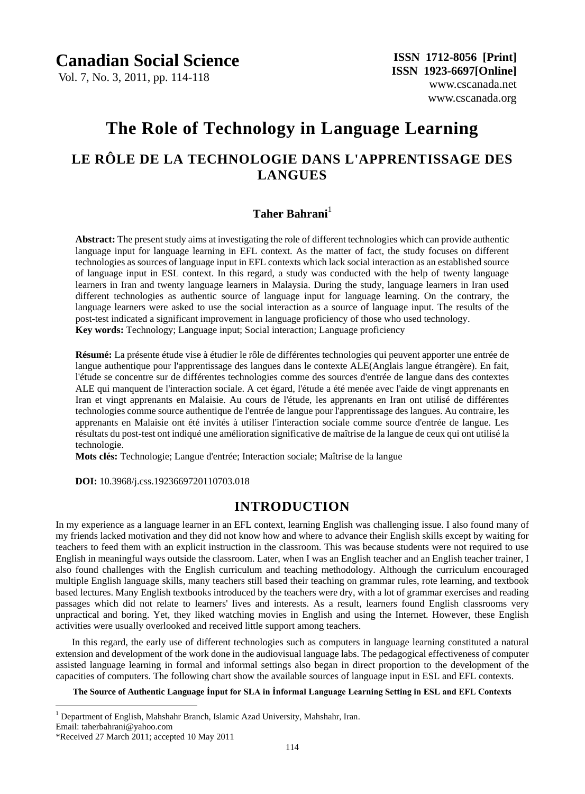Vol. 7, No. 3, 2011, pp. 114-118

www.cscanada.org

# **The Role of Technology in Language Learning LE RÔLE DE LA TECHNOLOGIE DANS L'APPRENTISSAGE DES LANGUES**

### **Taher Bahrani**<sup>1</sup>

**Abstract:** The present study aims at investigating the role of different technologies which can provide authentic language input for language learning in EFL context. As the matter of fact, the study focuses on different technologies as sources of language input in EFL contexts which lack social interaction as an established source of language input in ESL context. In this regard, a study was conducted with the help of twenty language learners in Iran and twenty language learners in Malaysia. During the study, language learners in Iran used different technologies as authentic source of language input for language learning. On the contrary, the language learners were asked to use the social interaction as a source of language input. The results of the post-test indicated a significant improvement in language proficiency of those who used technology. **Key words:** Technology; Language input; Social interaction; Language proficiency

**Résumé:** La présente étude vise à étudier le rôle de différentes technologies qui peuvent apporter une entrée de langue authentique pour l'apprentissage des langues dans le contexte ALE(Anglais langue étrangère). En fait, l'étude se concentre sur de différentes technologies comme des sources d'entrée de langue dans des contextes ALE qui manquent de l'interaction sociale. A cet égard, l'étude a été menée avec l'aide de vingt apprenants en Iran et vingt apprenants en Malaisie. Au cours de l'étude, les apprenants en Iran ont utilisé de différentes technologies comme source authentique de l'entrée de langue pour l'apprentissage des langues. Au contraire, les apprenants en Malaisie ont été invités à utiliser l'interaction sociale comme source d'entrée de langue. Les résultats du post-test ont indiqué une amélioration significative de maîtrise de la langue de ceux qui ont utilisé la technologie.

Mots cl és: Technologie; Langue d'entrée; Interaction sociale; Ma îrise de la langue

 **DOI:** 10.3968/j.css.1923669720110703.018

### **INTRODUCTION**

In my experience as a language learner in an EFL context, learning English was challenging issue. I also found many of my friends lacked motivation and they did not know how and where to advance their English skills except by waiting for teachers to feed them with an explicit instruction in the classroom. This was because students were not required to use English in meaningful ways outside the classroom. Later, when I was an English teacher and an English teacher trainer, I also found challenges with the English curriculum and teaching methodology. Although the curriculum encouraged multiple English language skills, many teachers still based their teaching on grammar rules, rote learning, and textbook based lectures. Many English textbooks introduced by the teachers were dry, with a lot of grammar exercises and reading passages which did not relate to learners' lives and interests. As a result, learners found English classrooms very unpractical and boring. Yet, they liked watching movies in English and using the Internet. However, these English activities were usually overlooked and received little support among teachers.

In this regard, the early use of different technologies such as computers in language learning constituted a natural extension and development of the work done in the audiovisual language labs. The pedagogical effectiveness of computer assisted language learning in formal and informal settings also began in direct proportion to the development of the capacities of computers. The following chart show the available sources of language input in ESL and EFL contexts.

**The Source of Authentic Language İnput for SLA in İnformal Language Learning Setting in ESL and EFL Contexts**

 $\overline{a}$ 

<sup>&</sup>lt;sup>1</sup> Department of English, Mahshahr Branch, Islamic Azad University, Mahshahr, Iran.

Email: taherbahrani@yahoo.com

<sup>\*</sup>Received 27 March 2011; accepted 10 May 2011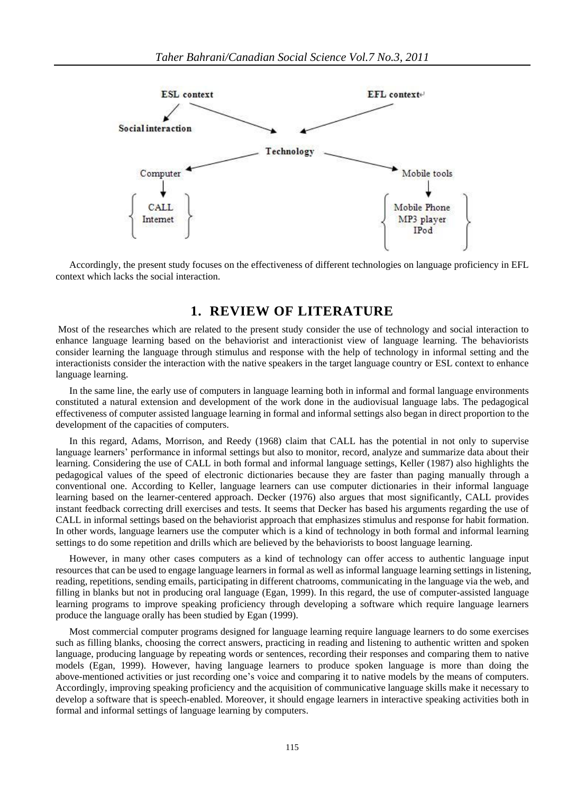

Accordingly, the present study focuses on the effectiveness of different technologies on language proficiency in EFL context which lacks the social interaction.

### **1. REVIEW OF LITERATURE**

Most of the researches which are related to the present study consider the use of technology and social interaction to enhance language learning based on the behaviorist and interactionist view of language learning. The behaviorists consider learning the language through stimulus and response with the help of technology in informal setting and the interactionists consider the interaction with the native speakers in the target language country or ESL context to enhance language learning.

In the same line, the early use of computers in language learning both in informal and formal language environments constituted a natural extension and development of the work done in the audiovisual language labs. The pedagogical effectiveness of computer assisted language learning in formal and informal settings also began in direct proportion to the development of the capacities of computers.

In this regard, Adams, Morrison, and Reedy (1968) claim that CALL has the potential in not only to supervise language learners' performance in informal settings but also to monitor, record, analyze and summarize data about their learning. Considering the use of CALL in both formal and informal language settings, Keller (1987) also highlights the pedagogical values of the speed of electronic dictionaries because they are faster than paging manually through a conventional one. According to Keller, language learners can use computer dictionaries in their informal language learning based on the learner-centered approach. Decker (1976) also argues that most significantly, CALL provides instant feedback correcting drill exercises and tests. It seems that Decker has based his arguments regarding the use of CALL in informal settings based on the behaviorist approach that emphasizes stimulus and response for habit formation. In other words, language learners use the computer which is a kind of technology in both formal and informal learning settings to do some repetition and drills which are believed by the behaviorists to boost language learning.

However, in many other cases computers as a kind of technology can offer access to authentic language input resources that can be used to engage language learners in formal as well as informal language learning settings in listening, reading, repetitions, sending emails, participating in different chatrooms, communicating in the language via the web, and filling in blanks but not in producing oral language (Egan, 1999). In this regard, the use of computer-assisted language learning programs to improve speaking proficiency through developing a software which require language learners produce the language orally has been studied by Egan (1999).

Most commercial computer programs designed for language learning require language learners to do some exercises such as filling blanks, choosing the correct answers, practicing in reading and listening to authentic written and spoken language, producing language by repeating words or sentences, recording their responses and comparing them to native models (Egan, 1999). However, having language learners to produce spoken language is more than doing the above-mentioned activities or just recording one's voice and comparing it to native models by the means of computers. Accordingly, improving speaking proficiency and the acquisition of communicative language skills make it necessary to develop a software that is speech-enabled. Moreover, it should engage learners in interactive speaking activities both in formal and informal settings of language learning by computers.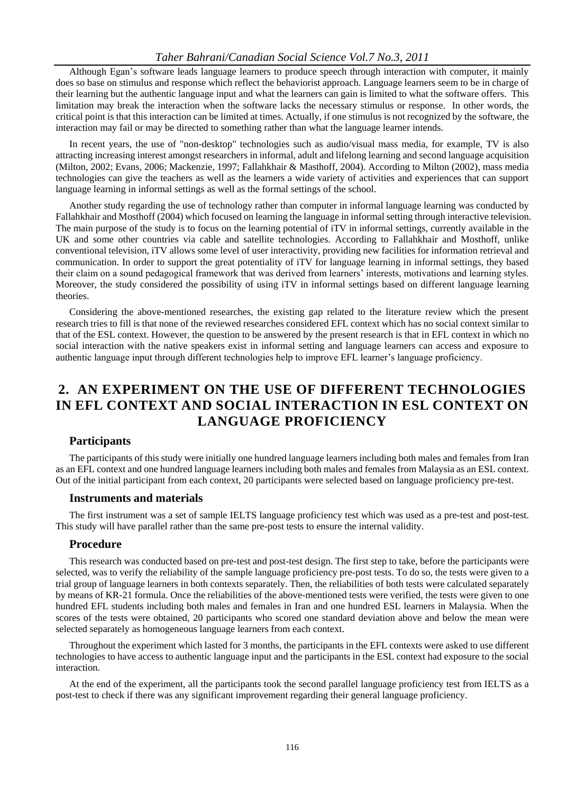#### *Taher Bahrani/Canadian Social Science Vol.7 No.3, 2011*

Although Egan's software leads language learners to produce speech through interaction with computer, it mainly does so base on stimulus and response which reflect the behaviorist approach. Language learners seem to be in charge of their learning but the authentic language input and what the learners can gain is limited to what the software offers. This limitation may break the interaction when the software lacks the necessary stimulus or response. In other words, the critical point is that this interaction can be limited at times. Actually, if one stimulus is not recognized by the software, the interaction may fail or may be directed to something rather than what the language learner intends.

In recent years, the use of "non-desktop" technologies such as audio/visual mass media, for example, TV is also attracting increasing interest amongst researchers in informal, adult and lifelong learning and second language acquisition (Milton, 2002; Evans, 2006; Mackenzie, 1997; Fallahkhair & Masthoff, 2004). According to Milton (2002), mass media technologies can give the teachers as well as the learners a wide variety of activities and experiences that can support language learning in informal settings as well as the formal settings of the school.

Another study regarding the use of technology rather than computer in informal language learning was conducted by Fallahkhair and Mosthoff (2004) which focused on learning the language in informal setting through interactive television. The main purpose of the study is to focus on the learning potential of iTV in informal settings, currently available in the UK and some other countries via cable and satellite technologies. According to Fallahkhair and Mosthoff, unlike conventional television, iTV allows some level of user interactivity, providing new facilities for information retrieval and communication. In order to support the great potentiality of iTV for language learning in informal settings, they based their claim on a sound pedagogical framework that was derived from learners' interests, motivations and learning styles. Moreover, the study considered the possibility of using iTV in informal settings based on different language learning theories.

Considering the above-mentioned researches, the existing gap related to the literature review which the present research tries to fill is that none of the reviewed researches considered EFL context which has no social context similar to that of the ESL context. However, the question to be answered by the present research is that in EFL context in which no social interaction with the native speakers exist in informal setting and language learners can access and exposure to authentic language input through different technologies help to improve EFL learner's language proficiency.

## **2. AN EXPERIMENT ON THE USE OF DIFFERENT TECHNOLOGIES IN EFL CONTEXT AND SOCIAL INTERACTION IN ESL CONTEXT ON LANGUAGE PROFICIENCY**

#### **Participants**

The participants of this study were initially one hundred language learners including both males and females from Iran as an EFL context and one hundred language learners including both males and females from Malaysia as an ESL context. Out of the initial participant from each context, 20 participants were selected based on language proficiency pre-test.

#### **Instruments and materials**

The first instrument was a set of sample IELTS language proficiency test which was used as a pre-test and post-test. This study will have parallel rather than the same pre-post tests to ensure the internal validity.

#### **Procedure**

This research was conducted based on pre-test and post-test design. The first step to take, before the participants were selected, was to verify the reliability of the sample language proficiency pre-post tests. To do so, the tests were given to a trial group of language learners in both contexts separately. Then, the reliabilities of both tests were calculated separately by means of KR-21 formula. Once the reliabilities of the above-mentioned tests were verified, the tests were given to one hundred EFL students including both males and females in Iran and one hundred ESL learners in Malaysia. When the scores of the tests were obtained, 20 participants who scored one standard deviation above and below the mean were selected separately as homogeneous language learners from each context.

Throughout the experiment which lasted for 3 months, the participants in the EFL contexts were asked to use different technologies to have access to authentic language input and the participants in the ESL context had exposure to the social interaction.

At the end of the experiment, all the participants took the second parallel language proficiency test from IELTS as a post-test to check if there was any significant improvement regarding their general language proficiency.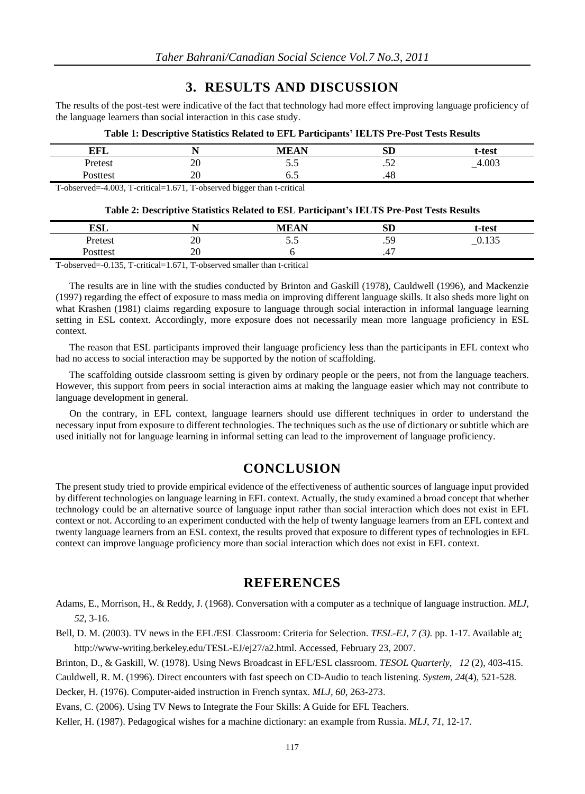### **3. RESULTS AND DISCUSSION**

The results of the post-test were indicative of the fact that technology had more effect improving language proficiency of the language learners than social interaction in this case study.

| . .             | . .              | $\mathbf{r}$<br>$-$ | $\sim$<br>IJΜ           | t-test   |
|-----------------|------------------|---------------------|-------------------------|----------|
| Jrete€1<br>TUWY | ጎበ<br>$\angle U$ | $\ddotsc$           | $\sim$ $\sim$<br>$\sim$ | $-4.003$ |
|                 | 20               | ∪.∪                 | .40                     |          |
|                 |                  |                     |                         |          |

#### **Table 1: Descriptive Statistics Related to EFL Participants' IELTS Pre-Post Tests Results**

T-observed=-4.003, T-critical=1.671, T-observed bigger than t-critical

#### **Table 2: Descriptive Statistics Related to ESL Participant's IELTS Pre-Post Tests Results**

| <b>L'GT</b><br>LOL | - -      | MEAN | α'n<br>עט | t-test                               |
|--------------------|----------|------|-----------|--------------------------------------|
| Pretest            | 20       | ن.ر  | 5C<br>. J | $\sim$ $\sim$ $\sim$<br>v. 1 J.<br>- |
| 'osttest           | ററ<br>∠∪ |      | . ۲۰      |                                      |

T-observed=-0.135, T-critical=1.671, T-observed smaller than t-critical

The results are in line with the studies conducted by Brinton and Gaskill (1978), Cauldwell (1996), and Mackenzie (1997) regarding the effect of exposure to mass media on improving different language skills. It also sheds more light on what Krashen (1981) claims regarding exposure to language through social interaction in informal language learning setting in ESL context. Accordingly, more exposure does not necessarily mean more language proficiency in ESL context.

The reason that ESL participants improved their language proficiency less than the participants in EFL context who had no access to social interaction may be supported by the notion of scaffolding.

The scaffolding outside classroom setting is given by ordinary people or the peers, not from the language teachers. However, this support from peers in social interaction aims at making the language easier which may not contribute to language development in general.

On the contrary, in EFL context, language learners should use different techniques in order to understand the necessary input from exposure to different technologies. The techniques such as the use of dictionary or subtitle which are used initially not for language learning in informal setting can lead to the improvement of language proficiency.

### **CONCLUSION**

The present study tried to provide empirical evidence of the effectiveness of authentic sources of language input provided by different technologies on language learning in EFL context. Actually, the study examined a broad concept that whether technology could be an alternative source of language input rather than social interaction which does not exist in EFL context or not. According to an experiment conducted with the help of twenty language learners from an EFL context and twenty language learners from an ESL context, the results proved that exposure to different types of technologies in EFL context can improve language proficiency more than social interaction which does not exist in EFL context.

### **REFERENCES**

Adams, E., Morrison, H., & Reddy, J. (1968). Conversation with a computer as a technique of language instruction. *MLJ, 52*, 3-16.

Bell, D. M. (2003). TV news in the EFL/ESL Classroom: Criteria for Selection. *TESL-EJ*, *7 (3).* pp. 1-17. Available at: http://www-writing.berkeley.edu/TESL-EJ/ej27/a2.html. Accessed, February 23, 2007.

Brinton, D., & Gaskill, W. (1978). Using News Broadcast in EFL/ESL classroom. *TESOL Quarterly*, *12* (2), 403-415.

Cauldwell, R. M. (1996). Direct encounters with fast speech on CD-Audio to teach listening. *System, 24*(4), 521-528*.* 

Decker, H. (1976). Computer-aided instruction in French syntax. *MLJ, 60,* 263-273.

Evans, C. (2006). Using TV News to Integrate the Four Skills: A Guide for EFL Teachers.

Keller, H. (1987). Pedagogical wishes for a machine dictionary: an example from Russia. *MLJ, 71*, 12-17*.*